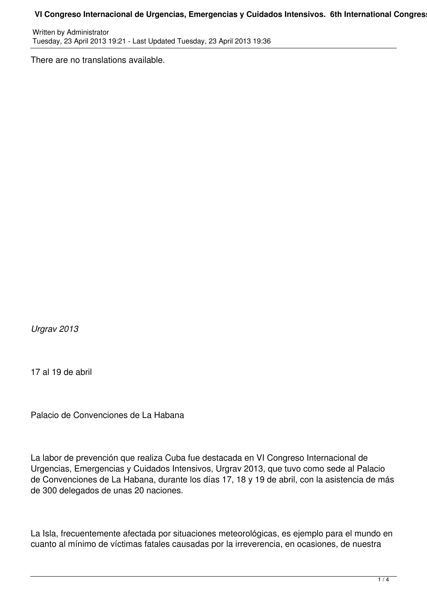## VI Congreso Internacional de Urgencias, Emergencias y Cuidados Intensivos. 6th International Congres

Written by Administrator Tuesday, 23 April 2013 19:21 - Last Updated Tuesday, 23 April 2013 19:36

There are no translations available.

*Urgrav 2013*

17 al 19 de abril

Palacio de Convenciones de La Habana

La labor de prevención que realiza Cuba fue destacada en VI Congreso Internacional de Urgencias, Emergencias y Cuidados Intensivos, Urgrav 2013, que tuvo como sede al Palacio de Convenciones de La Habana, durante los días 17, 18 y 19 de abril, con la asistencia de más de 300 delegados de unas 20 naciones.

La Isla, frecuentemente afectada por situaciones meteorológicas, es ejemplo para el mundo en cuanto al mínimo de víctimas fatales causadas por la irreverencia, en ocasiones, de nuestra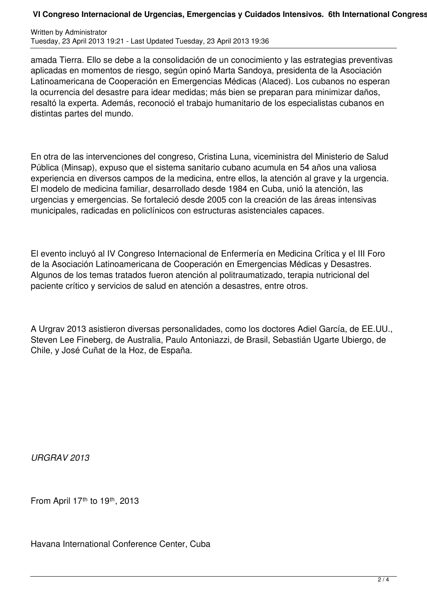## VI Congreso Internacional de Urgencias, Emergencias y Cuidados Intensivos. 6th International Congress

Written by Administrator Tuesday, 23 April 2013 19:21 - Last Updated Tuesday, 23 April 2013 19:36

amada Tierra. Ello se debe a la consolidación de un conocimiento y las estrategias preventivas aplicadas en momentos de riesgo, según opinó Marta Sandoya, presidenta de la Asociación Latinoamericana de Cooperación en Emergencias Médicas (Alaced). Los cubanos no esperan la ocurrencia del desastre para idear medidas; más bien se preparan para minimizar daños, resaltó la experta. Además, reconoció el trabajo humanitario de los especialistas cubanos en distintas partes del mundo.

En otra de las intervenciones del congreso, Cristina Luna, viceministra del Ministerio de Salud Pública (Minsap), expuso que el sistema sanitario cubano acumula en 54 años una valiosa experiencia en diversos campos de la medicina, entre ellos, la atención al grave y la urgencia. El modelo de medicina familiar, desarrollado desde 1984 en Cuba, unió la atención, las urgencias y emergencias. Se fortaleció desde 2005 con la creación de las áreas intensivas municipales, radicadas en policlínicos con estructuras asistenciales capaces.

El evento incluyó al IV Congreso Internacional de Enfermería en Medicina Crítica y el III Foro de la Asociación Latinoamericana de Cooperación en Emergencias Médicas y Desastres. Algunos de los temas tratados fueron atención al politraumatizado, terapia nutricional del paciente crítico y servicios de salud en atención a desastres, entre otros.

A Urgrav 2013 asistieron diversas personalidades, como los doctores Adiel García, de EE.UU., Steven Lee Fineberg, de Australia, Paulo Antoniazzi, de Brasil, Sebastián Ugarte Ubiergo, de Chile, y José Cuñat de la Hoz, de España.

*URGRAV 2013*

From April  $17<sup>th</sup>$  to  $19<sup>th</sup>$ , 2013

Havana International Conference Center, Cuba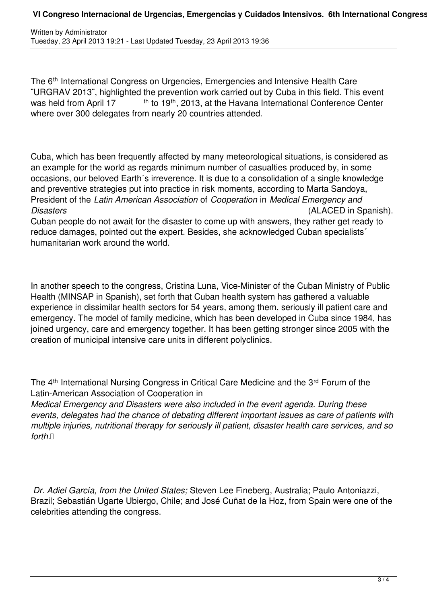## VI Congreso Internacional de Urgencias, Emergencias y Cuidados Intensivos. 6th International Congress

The 6<sup>th</sup> International Congress on Urgencies, Emergencies and Intensive Health Care ¨URGRAV 2013¨, highlighted the prevention work carried out by Cuba in this field. This event was held from April 17 th to 19<sup>th</sup>, 2013, at the Havana International Conference Center where over 300 delegates from nearly 20 countries attended.

Cuba, which has been frequently affected by many meteorological situations, is considered as an example for the world as regards minimum number of casualties produced by, in some occasions, our beloved Earth´s irreverence. It is due to a consolidation of a single knowledge and preventive strategies put into practice in risk moments, according to Marta Sandoya, President of the *Latin American Association* of *Cooperation* in *Medical Emergency and Disasters* (ALACED in Spanish). Cuban people do not await for the disaster to come up with answers, they rather get ready to reduce damages, pointed out the expert. Besides, she acknowledged Cuban specialists´ humanitarian work around the world.

In another speech to the congress, Cristina Luna, Vice-Minister of the Cuban Ministry of Public Health (MINSAP in Spanish), set forth that Cuban health system has gathered a valuable experience in dissimilar health sectors for 54 years, among them, seriously ill patient care and emergency. The model of family medicine, which has been developed in Cuba since 1984, has joined urgency, care and emergency together. It has been getting stronger since 2005 with the creation of municipal intensive care units in different polyclinics.

The 4<sup>th</sup> International Nursing Congress in Critical Care Medicine and the 3<sup>rd</sup> Forum of the Latin-American Association of Cooperation in

*Medical Emergency and Disasters were also included in the event agenda. During these events, delegates had the chance of debating different important issues as care of patients with multiple injuries, nutritional therapy for seriously ill patient, disaster health care services, and so*  $f$ orth.  $\Box$ 

 *Dr. Adiel García, from the United States;* Steven Lee Fineberg, Australia; Paulo Antoniazzi, Brazil; Sebastián Ugarte Ubiergo, Chile; and José Cuñat de la Hoz, from Spain were one of the celebrities attending the congress.